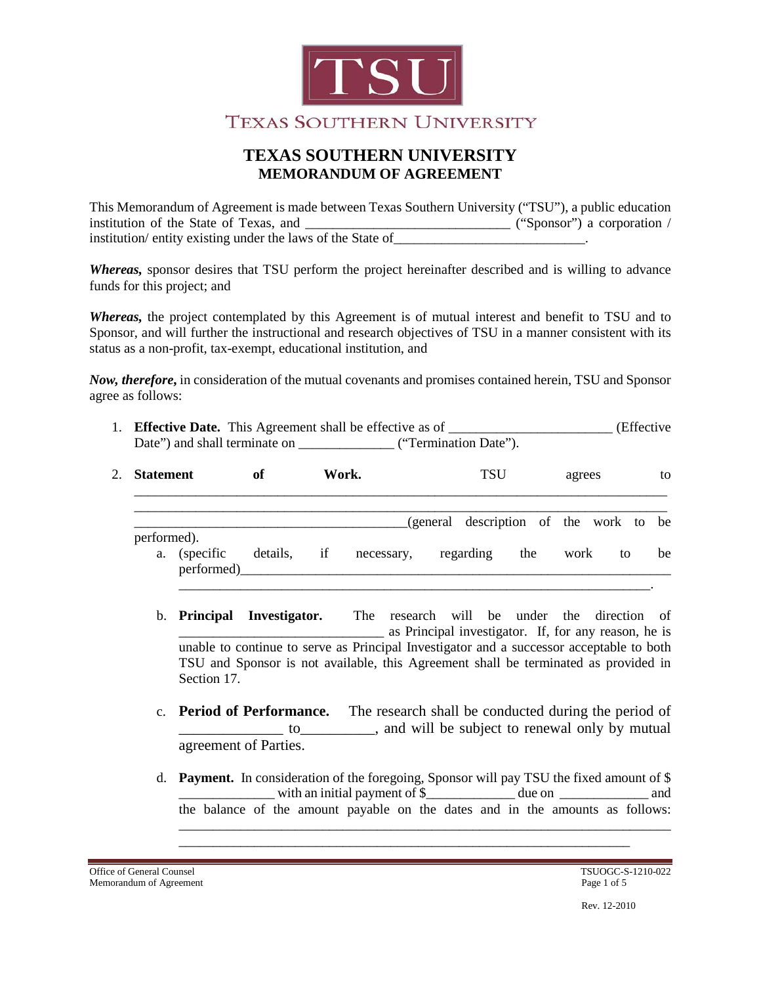

This Memorandum of Agreement is made between Texas Southern University ("TSU"), a public education institution of the State of Texas, and \_\_\_\_\_\_\_\_\_\_\_\_\_\_\_\_\_\_\_\_\_\_\_\_\_\_\_\_\_\_ ("Sponsor") a corporation / institution/ entity existing under the laws of the State of

*Whereas,* sponsor desires that TSU perform the project hereinafter described and is willing to advance funds for this project; and

*Whereas,* the project contemplated by this Agreement is of mutual interest and benefit to TSU and to Sponsor, and will further the instructional and research objectives of TSU in a manner consistent with its status as a non-profit, tax-exempt, educational institution, and

*Now, therefore***,** in consideration of the mutual covenants and promises contained herein, TSU and Sponsor agree as follows:

| 1. Effective Date. This Agreement shall be effective as of<br>(Effective) |                       |  |  |  |
|---------------------------------------------------------------------------|-----------------------|--|--|--|
| Date") and shall terminate on                                             | ("Termination Date"). |  |  |  |

| 2. Statement |                            | Work.<br>of |  |                                  | <b>TSU</b> |  |     | agrees |                                        | to |  |
|--------------|----------------------------|-------------|--|----------------------------------|------------|--|-----|--------|----------------------------------------|----|--|
|              |                            |             |  |                                  |            |  |     |        | (general description of the work to be |    |  |
| performed).  | a. (specific<br>performed) |             |  | details, if necessary, regarding |            |  | the | work   | to                                     | be |  |
|              |                            |             |  |                                  |            |  |     |        |                                        |    |  |

- b. **Principal Investigator.** The research will be under the direction of as Principal investigator. If, for any reason, he is unable to continue to serve as Principal Investigator and a successor acceptable to both TSU and Sponsor is not available, this Agreement shall be terminated as provided in Section 17.
- c. **Period of Performance.** The research shall be conducted during the period of to subject to renewal only by mutual to agreement of Parties.
- d. **Payment.** In consideration of the foregoing, Sponsor will pay TSU the fixed amount of \$ with an initial payment of \$\_\_\_\_\_\_\_\_\_\_\_ due on \_\_\_\_\_\_\_\_\_\_\_ and the balance of the amount payable on the dates and in the amounts as follows:

\_\_\_\_\_\_\_\_\_\_\_\_\_\_\_\_\_\_\_\_\_\_\_\_\_\_\_\_\_\_\_\_\_\_\_\_\_\_\_\_\_\_\_\_\_\_\_\_\_\_\_\_\_\_\_\_\_\_\_\_\_\_\_\_\_\_\_\_\_\_\_\_ \_\_\_\_\_\_\_\_\_\_\_\_\_\_\_\_\_\_\_\_\_\_\_\_\_\_\_\_\_\_\_\_\_\_\_\_\_\_\_\_\_\_\_\_\_\_\_\_\_\_\_\_\_\_\_\_\_\_\_\_\_\_\_\_\_\_

Office of General Counsel<br>
Memorandum of Agreement<br>
Page 1 of 5 Memorandum of Agreement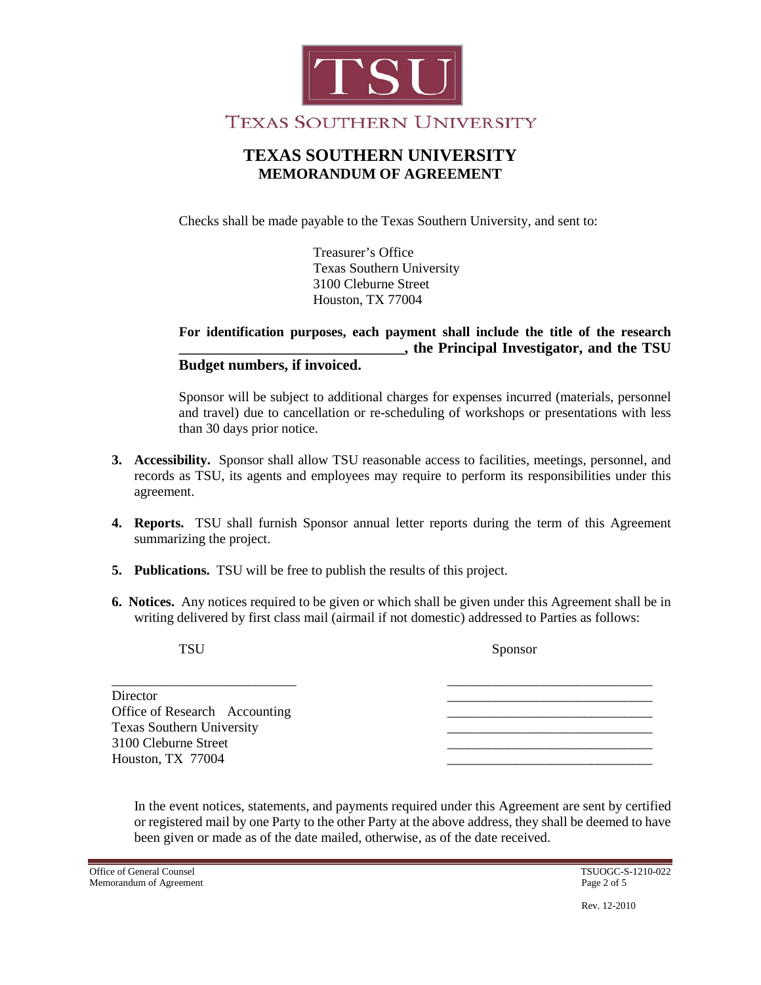

Checks shall be made payable to the Texas Southern University, and sent to:

Treasurer's Office Texas Southern University 3100 Cleburne Street Houston, TX 77004

### **For identification purposes, each payment shall include the title of the research \_\_\_\_\_\_\_\_\_\_\_\_\_\_\_\_\_\_\_\_\_\_\_\_\_\_\_\_\_\_\_\_\_, the Principal Investigator, and the TSU Budget numbers, if invoiced.**

Sponsor will be subject to additional charges for expenses incurred (materials, personnel and travel) due to cancellation or re-scheduling of workshops or presentations with less than 30 days prior notice.

- **3. Accessibility.** Sponsor shall allow TSU reasonable access to facilities, meetings, personnel, and records as TSU, its agents and employees may require to perform its responsibilities under this agreement.
- **4. Reports.** TSU shall furnish Sponsor annual letter reports during the term of this Agreement summarizing the project.
- **5. Publications.** TSU will be free to publish the results of this project.
- **6. Notices.** Any notices required to be given or which shall be given under this Agreement shall be in writing delivered by first class mail (airmail if not domestic) addressed to Parties as follows:

| <b>TSU</b>                                                                                            | Sponsor |  |  |  |
|-------------------------------------------------------------------------------------------------------|---------|--|--|--|
| Director<br>Office of Research Accounting<br><b>Texas Southern University</b><br>3100 Cleburne Street |         |  |  |  |
| Houston, TX 77004                                                                                     |         |  |  |  |

In the event notices, statements, and payments required under this Agreement are sent by certified or registered mail by one Party to the other Party at the above address, they shall be deemed to have been given or made as of the date mailed, otherwise, as of the date received.

Office of General Counsel<br>
Memorandum of Agreement<br>
Page 2 of 5 Memorandum of Agreement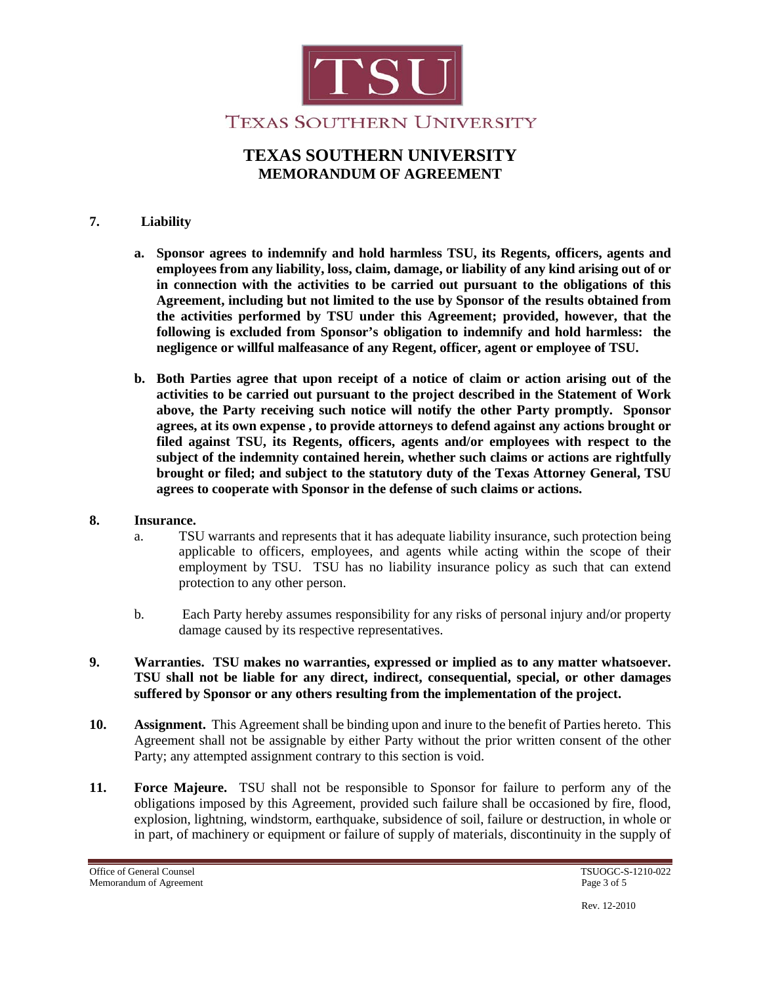

### **7. Liability**

- **a. Sponsor agrees to indemnify and hold harmless TSU, its Regents, officers, agents and employees from any liability, loss, claim, damage, or liability of any kind arising out of or in connection with the activities to be carried out pursuant to the obligations of this Agreement, including but not limited to the use by Sponsor of the results obtained from the activities performed by TSU under this Agreement; provided, however, that the following is excluded from Sponsor's obligation to indemnify and hold harmless: the negligence or willful malfeasance of any Regent, officer, agent or employee of TSU.**
- **b. Both Parties agree that upon receipt of a notice of claim or action arising out of the activities to be carried out pursuant to the project described in the Statement of Work above, the Party receiving such notice will notify the other Party promptly. Sponsor agrees, at its own expense , to provide attorneys to defend against any actions brought or filed against TSU, its Regents, officers, agents and/or employees with respect to the subject of the indemnity contained herein, whether such claims or actions are rightfully brought or filed; and subject to the statutory duty of the Texas Attorney General, TSU agrees to cooperate with Sponsor in the defense of such claims or actions.**

#### **8. Insurance.**

- a. TSU warrants and represents that it has adequate liability insurance, such protection being applicable to officers, employees, and agents while acting within the scope of their employment by TSU. TSU has no liability insurance policy as such that can extend protection to any other person.
- b. Each Party hereby assumes responsibility for any risks of personal injury and/or property damage caused by its respective representatives.
- **9. Warranties. TSU makes no warranties, expressed or implied as to any matter whatsoever. TSU shall not be liable for any direct, indirect, consequential, special, or other damages suffered by Sponsor or any others resulting from the implementation of the project.**
- **10. Assignment.** This Agreement shall be binding upon and inure to the benefit of Parties hereto. This Agreement shall not be assignable by either Party without the prior written consent of the other Party; any attempted assignment contrary to this section is void.
- **11. Force Majeure.** TSU shall not be responsible to Sponsor for failure to perform any of the obligations imposed by this Agreement, provided such failure shall be occasioned by fire, flood, explosion, lightning, windstorm, earthquake, subsidence of soil, failure or destruction, in whole or in part, of machinery or equipment or failure of supply of materials, discontinuity in the supply of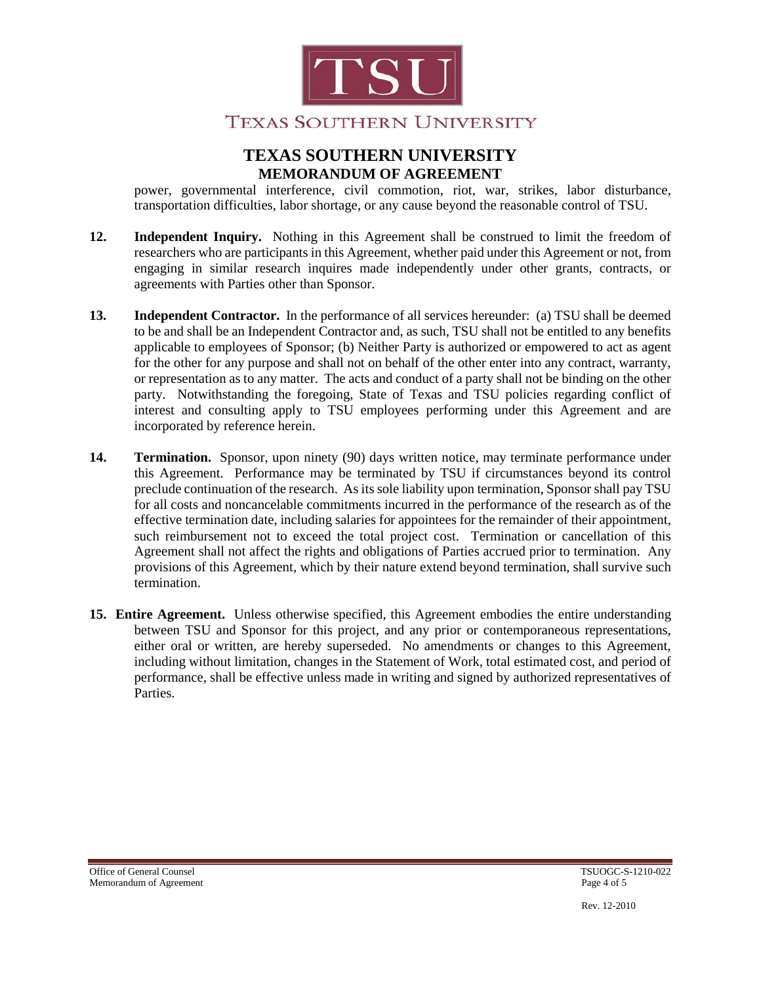

power, governmental interference, civil commotion, riot, war, strikes, labor disturbance, transportation difficulties, labor shortage, or any cause beyond the reasonable control of TSU.

- **12. Independent Inquiry.** Nothing in this Agreement shall be construed to limit the freedom of researchers who are participants in this Agreement, whether paid under this Agreement or not, from engaging in similar research inquires made independently under other grants, contracts, or agreements with Parties other than Sponsor.
- **13. Independent Contractor.** In the performance of all services hereunder: (a) TSU shall be deemed to be and shall be an Independent Contractor and, as such, TSU shall not be entitled to any benefits applicable to employees of Sponsor; (b) Neither Party is authorized or empowered to act as agent for the other for any purpose and shall not on behalf of the other enter into any contract, warranty, or representation as to any matter. The acts and conduct of a party shall not be binding on the other party. Notwithstanding the foregoing, State of Texas and TSU policies regarding conflict of interest and consulting apply to TSU employees performing under this Agreement and are incorporated by reference herein.
- **14. Termination.** Sponsor, upon ninety (90) days written notice, may terminate performance under this Agreement. Performance may be terminated by TSU if circumstances beyond its control preclude continuation of the research. As its sole liability upon termination, Sponsor shall pay TSU for all costs and noncancelable commitments incurred in the performance of the research as of the effective termination date, including salaries for appointees for the remainder of their appointment, such reimbursement not to exceed the total project cost. Termination or cancellation of this Agreement shall not affect the rights and obligations of Parties accrued prior to termination. Any provisions of this Agreement, which by their nature extend beyond termination, shall survive such termination.
- **15. Entire Agreement.** Unless otherwise specified, this Agreement embodies the entire understanding between TSU and Sponsor for this project, and any prior or contemporaneous representations, either oral or written, are hereby superseded. No amendments or changes to this Agreement, including without limitation, changes in the Statement of Work, total estimated cost, and period of performance, shall be effective unless made in writing and signed by authorized representatives of Parties.